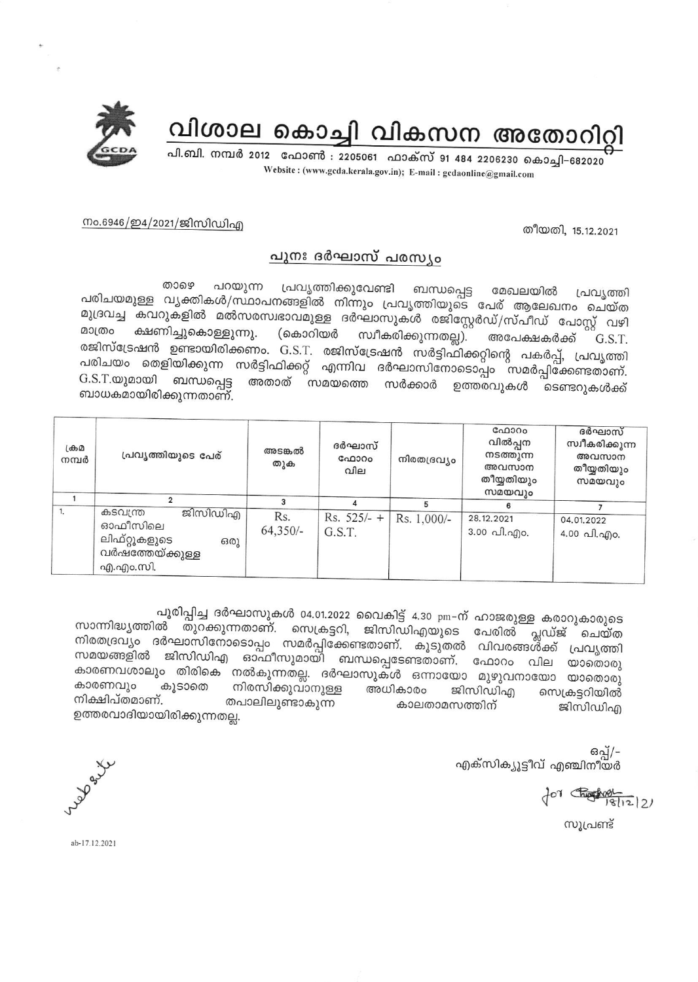

<u>നം.6946/ഇ4/2021/ജിസിഡിഎ</u>

തീയതി, 15.12.2021

## പുനഃ ദർഘാസ് പരസ്യം

പ്രവൃത്തിക്കുവേണ്ടി ബന്ധപ്പെട്ട லை പറയുന്ന മേഖലയിൽ പ്രവ്യത്തി പരിചയമുള്ള വൃക്തികൾ/സ്ഥാപനങ്ങളിൽ നിന്നും പ്രവൃത്തിയുടെ പേര് ആലേഖനം ചെയ്ത മുദ്രവച്ച കവറുകളിൽ മൽസരസ്വഭാവമുള്ള ദർഘാസുകൾ രജിസ്റ്റേർഡ്/സ്പീഡ് പോസ്റ്റ് വഴി മാത്രം ക്ഷണിച്ചുകൊള്ളുന്നു. (കൊറിയർ സ്വീകരിക്കുന്നതല്ല). അപേക്ഷകർക്ക്  $G.S.T.$ രജിസ്ട്രേഷൻ ഉണ്ടായിരിക്കണം. G.S.T. രജിസ്ട്രേഷൻ സർട്ടിഫിക്കറ്റിന്റെ പകർപ്പ്, പ്രവൃത്തി പരിചയം തെളിയിക്കുന്ന സർട്ടിഫിക്കറ്റ് എന്നിവ ദർഘാസിനോടൊപ്പം സമർപ്പിക്കേണ്ടതാണ്. G.S.T.യുമായി ബന്ധപ്പെട്ട അതാത് സമയത്തെ സർക്കാർ ഉത്തരവുകൾ ടെണ്ടറുകൾക്ക് ബാധകമായിരിക്കുന്നതാണ്.

| $L \oplus \mathcal{D}$<br>നമ്പർ | പ്രവൃത്തിയുടെ പേര്                                                                     | അടങ്കൽ<br>തുക     | ദർഘാസ്<br>ഫോറം<br>വില   | നിരതദ്രവ്യം | ഫോറം<br>വിൽപ്പന<br>നടത്തുന്ന<br>അവസാന<br>തീയ്യതിയും<br>സമയവും | ദർഘാസ്<br>സ്വീകരിക്കുന്ന<br>അവസാന<br>തീയ്യതിയും<br>സമയവും |
|---------------------------------|----------------------------------------------------------------------------------------|-------------------|-------------------------|-------------|---------------------------------------------------------------|-----------------------------------------------------------|
|                                 |                                                                                        |                   |                         | 5           |                                                               |                                                           |
| 1.                              | ജിസിഡിഎ<br>കടവന്ത്ര<br>ഓഫീസിലെ<br>ലിഫ്റ്റുകളുടെ<br>ഒരു<br>വർഷത്തേയ്ക്കുള്ള<br>എ.എം.സി. | Rs.<br>$64,350/-$ | $Rs. 525/- +$<br>G.S.T. | Rs. 1,000/- | 28.12.2021<br>3.00 പി.എം.                                     | 04.01.2022<br>4.00 പി.എo.                                 |

പൂരിപ്പിച്ച ദർഘാസുകൾ 04.01.2022 വൈകിട്ട് 4.30 pm-ന് ഹാജരുള്ള കരാറുകാരുടെ സാന്നിദ്ധ്യത്തിൽ തുറക്കുന്നതാണ്. സെക്രട്ടറി, ജിസിഡിഎയുടെ പേരിൽ പ്ലഡ്ജ് ചെയ്ത നിരതദ്രവ്യം ദർഘാസിനോടൊപ്പം സമർപ്പിക്കേണ്ടതാണ്. കൂടുതൽ വിവരങ്ങൾക്ക് പ്രവൃത്തി സമയങ്ങളിൽ ജിസിഡിഎ ഓഫീസുമായി ബന്ധപ്പെടേണ്ടതാണ്. ഫോറം വില യാതൊരു കാരണവശാലും തിരികെ നൽകുന്നതല്ല. ദർഘാസുകൾ ഒന്നായോ മുഴുവനായോ യാതൊരു കാരണവും നിരസിക്കുവാനുള്ള കൂടാതെ അധികാരം ജിസിഡിഎ സെക്രട്ടറിയിൽ നിക്ഷിപ്തമാണ്. തപാലിലുണ്ടാകുന്ന കാലതാമസത്തിന് ജിസിഡിഎ ഉത്തരവാദിയായിരിക്കുന്നതല്ല.

> ഒപ്പ്/-എക്സിക്യൂട്ടീവ് എഞ്ചിനീയർ

for Chappenstra 121

സൂപ്രണ്ട്

Lyse Rey

ab-17.12.2021